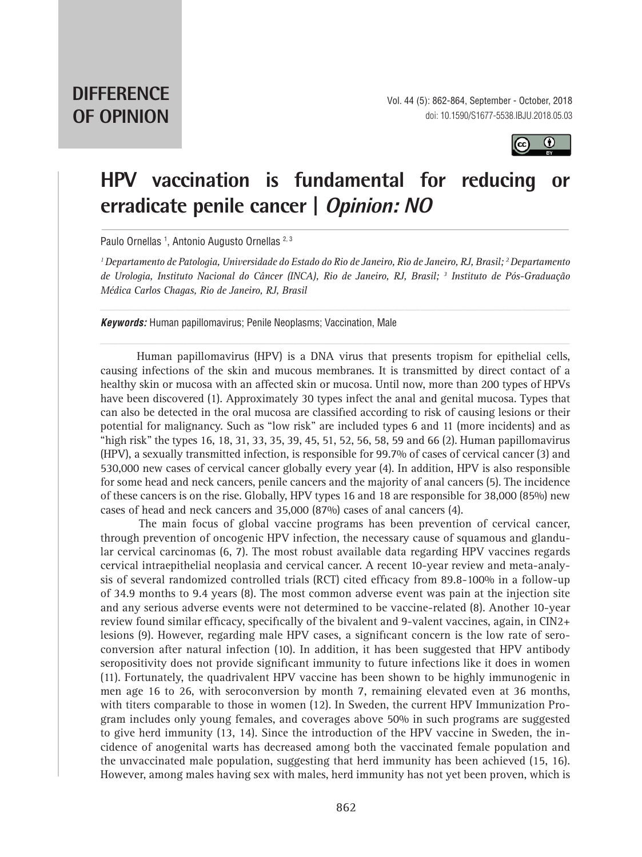

## **HPV vaccination is fundamental for reducing or erradicate penile cancer | Opinion: NO**

Paulo Ornellas <sup>1</sup>, Antonio Augusto Ornellas <sup>2, 3</sup>

*1 Departamento de Patologia, Universidade do Estado do Rio de Janeiro, Rio de Janeiro, RJ, Brasil; 2 Departamento de Urologia, Instituto Nacional do Câncer (INCA), Rio de Janeiro, RJ, Brasil; 3 Instituto de Pós-Graduação Médica Carlos Chagas, Rio de Janeiro, RJ, Brasil*

*Keywords:* Human papillomavirus; Penile Neoplasms; Vaccination, Male

Human papillomavirus (HPV) is a DNA virus that presents tropism for epithelial cells, causing infections of the skin and mucous membranes. It is transmitted by direct contact of a healthy skin or mucosa with an affected skin or mucosa. Until now, more than 200 types of HPVs have been discovered (1). Approximately 30 types infect the anal and genital mucosa. Types that can also be detected in the oral mucosa are classified according to risk of causing lesions or their potential for malignancy. Such as "low risk" are included types 6 and 11 (more incidents) and as "high risk" the types 16, 18, 31, 33, 35, 39, 45, 51, 52, 56, 58, 59 and 66 (2). Human papillomavirus (HPV), a sexually transmitted infection, is responsible for 99.7% of cases of cervical cancer (3) and 530,000 new cases of cervical cancer globally every year (4). In addition, HPV is also responsible for some head and neck cancers, penile cancers and the majority of anal cancers (5). The incidence of these cancers is on the rise. Globally, HPV types 16 and 18 are responsible for 38,000 (85%) new cases of head and neck cancers and 35,000 (87%) cases of anal cancers (4).

The main focus of global vaccine programs has been prevention of cervical cancer, through prevention of oncogenic HPV infection, the necessary cause of squamous and glandular cervical carcinomas (6, 7). The most robust available data regarding HPV vaccines regards cervical intraepithelial neoplasia and cervical cancer. A recent 10-year review and meta-analysis of several randomized controlled trials (RCT) cited efficacy from 89.8-100% in a follow-up of 34.9 months to 9.4 years (8). The most common adverse event was pain at the injection site and any serious adverse events were not determined to be vaccine-related (8). Another 10-year review found similar efficacy, specifically of the bivalent and 9-valent vaccines, again, in CIN2+ lesions (9). However, regarding male HPV cases, a significant concern is the low rate of seroconversion after natural infection (10). In addition, it has been suggested that HPV antibody seropositivity does not provide significant immunity to future infections like it does in women (11). Fortunately, the quadrivalent HPV vaccine has been shown to be highly immunogenic in men age 16 to 26, with seroconversion by month 7, remaining elevated even at 36 months, with titers comparable to those in women (12). In Sweden, the current HPV Immunization Program includes only young females, and coverages above 50% in such programs are suggested to give herd immunity (13, 14). Since the introduction of the HPV vaccine in Sweden, the incidence of anogenital warts has decreased among both the vaccinated female population and the unvaccinated male population, suggesting that herd immunity has been achieved (15, 16). However, among males having sex with males, herd immunity has not yet been proven, which is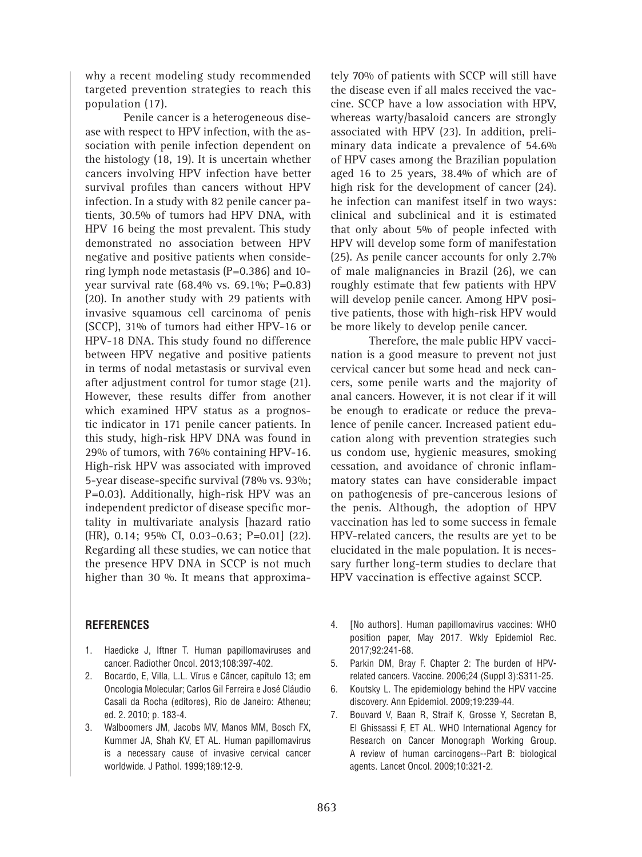why a recent modeling study recommended targeted prevention strategies to reach this population (17).

Penile cancer is a heterogeneous disease with respect to HPV infection, with the association with penile infection dependent on the histology (18, 19). It is uncertain whether cancers involving HPV infection have better survival profiles than cancers without HPV infection. In a study with 82 penile cancer patients, 30.5% of tumors had HPV DNA, with HPV 16 being the most prevalent. This study demonstrated no association between HPV negative and positive patients when considering lymph node metastasis (P=0.386) and 10 year survival rate (68.4% vs. 69.1%; P=0.83) (20). In another study with 29 patients with invasive squamous cell carcinoma of penis (SCCP), 31% of tumors had either HPV-16 or HPV-18 DNA. This study found no difference between HPV negative and positive patients in terms of nodal metastasis or survival even after adjustment control for tumor stage (21). However, these results differ from another which examined HPV status as a prognostic indicator in 171 penile cancer patients. In this study, high-risk HPV DNA was found in 29% of tumors, with 76% containing HPV-16. High-risk HPV was associated with improved 5-year disease-specific survival (78% vs. 93%; P=0.03). Additionally, high-risk HPV was an independent predictor of disease specific mortality in multivariate analysis [hazard ratio (HR), 0.14; 95% CI, 0.03–0.63; P=0.01] (22). Regarding all these studies, we can notice that the presence HPV DNA in SCCP is not much higher than 30 %. It means that approxima-

## **REFERENCES**

- 1. Haedicke J, Iftner T. Human papillomaviruses and cancer. Radiother Oncol. 2013;108:397-402.
- 2. Bocardo, E, Villa, L.L. Vírus e Câncer, capítulo 13; em Oncologia Molecular; Carlos Gil Ferreira e José Cláudio Casali da Rocha (editores), Rio de Janeiro: Atheneu; ed. 2. 2010; p. 183-4.
- 3. Walboomers JM, Jacobs MV, Manos MM, Bosch FX, Kummer JA, Shah KV, ET AL. Human papillomavirus is a necessary cause of invasive cervical cancer worldwide. J Pathol. 1999;189:12-9.

tely 70% of patients with SCCP will still have the disease even if all males received the vaccine. SCCP have a low association with HPV, whereas warty/basaloid cancers are strongly associated with HPV (23). In addition, preliminary data indicate a prevalence of 54.6% of HPV cases among the Brazilian population aged 16 to 25 years, 38.4% of which are of high risk for the development of cancer (24). he infection can manifest itself in two ways: clinical and subclinical and it is estimated that only about 5% of people infected with HPV will develop some form of manifestation (25). As penile cancer accounts for only 2.7% of male malignancies in Brazil (26), we can roughly estimate that few patients with HPV will develop penile cancer. Among HPV positive patients, those with high-risk HPV would be more likely to develop penile cancer.

Therefore, the male public HPV vaccination is a good measure to prevent not just cervical cancer but some head and neck cancers, some penile warts and the majority of anal cancers. However, it is not clear if it will be enough to eradicate or reduce the prevalence of penile cancer. Increased patient education along with prevention strategies such us condom use, hygienic measures, smoking cessation, and avoidance of chronic inflammatory states can have considerable impact on pathogenesis of pre-cancerous lesions of the penis. Although, the adoption of HPV vaccination has led to some success in female HPV-related cancers, the results are yet to be elucidated in the male population. It is necessary further long-term studies to declare that HPV vaccination is effective against SCCP.

- 4. [No authors]. Human papillomavirus vaccines: WHO position paper, May 2017. Wkly Epidemiol Rec. 2017;92:241-68.
- 5. Parkin DM, Bray F. Chapter 2: The burden of HPVrelated cancers. Vaccine. 2006;24 (Suppl 3):S311-25.
- 6. Koutsky L. The epidemiology behind the HPV vaccine discovery. Ann Epidemiol. 2009;19:239-44.
- 7. Bouvard V, Baan R, Straif K, Grosse Y, Secretan B, El Ghissassi F, ET AL. WHO International Agency for Research on Cancer Monograph Working Group. A review of human carcinogens--Part B: biological agents. Lancet Oncol. 2009;10:321-2.